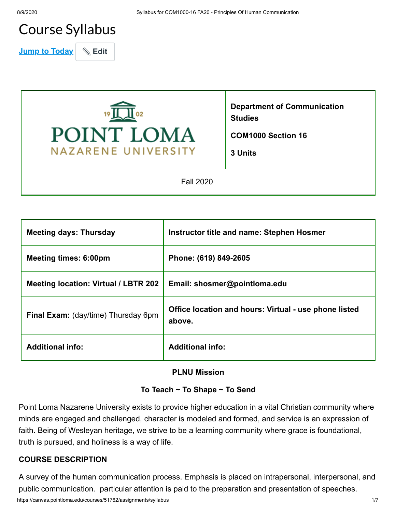# Course Syllabus

**Jump to Today | & Edit** 



**Department of Communication Studies**

**COM1000 Section 16**

**3 Units**

Fall 2020

| <b>Meeting days: Thursday</b>              | Instructor title and name: Stephen Hosmer                       |
|--------------------------------------------|-----------------------------------------------------------------|
| <b>Meeting times: 6:00pm</b>               | Phone: (619) 849-2605                                           |
| Meeting location: Virtual / LBTR 202       | Email: shosmer@pointloma.edu                                    |
| <b>Final Exam:</b> (day/time) Thursday 6pm | Office location and hours: Virtual - use phone listed<br>above. |
| <b>Additional info:</b>                    | <b>Additional info:</b>                                         |

#### **PLNU Mission**

#### **To Teach ~ To Shape ~ To Send**

Point Loma Nazarene University exists to provide higher education in a vital Christian community where minds are engaged and challenged, character is modeled and formed, and service is an expression of faith. Being of Wesleyan heritage, we strive to be a learning community where grace is foundational, truth is pursued, and holiness is a way of life.

#### **COURSE DESCRIPTION**

A survey of the human communication process. Emphasis is placed on intrapersonal, interpersonal, and public communication. particular attention is paid to the preparation and presentation of speeches.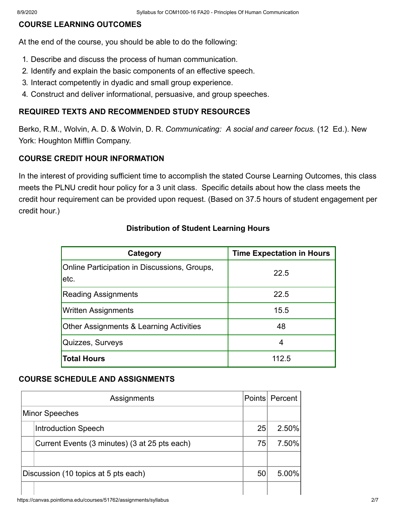#### **COURSE LEARNING OUTCOMES**

At the end of the course, you should be able to do the following:

- 1. Describe and discuss the process of human communication.
- 2. Identify and explain the basic components of an effective speech.
- 3. Interact competently in dyadic and small group experience.
- 4. Construct and deliver informational, persuasive, and group speeches.

#### **REQUIRED TEXTS AND RECOMMENDED STUDY RESOURCES**

Berko, R.M., Wolvin, A. D. & Wolvin, D. R. *Communicating: A social and career focus.* (12 Ed.). New York: Houghton Mifflin Company.

# **COURSE CREDIT HOUR INFORMATION**

In the interest of providing sufficient time to accomplish the stated Course Learning Outcomes, this class meets the PLNU credit hour policy for a 3 unit class. Specific details about how the class meets the credit hour requirement can be provided upon request. (Based on 37.5 hours of student engagement per credit hour.)

| Category                                                    | <b>Time Expectation in Hours</b> |
|-------------------------------------------------------------|----------------------------------|
| <b>Online Participation in Discussions, Groups,</b><br>etc. | 22.5                             |
| <b>Reading Assignments</b>                                  | 22.5                             |
| <b>Written Assignments</b>                                  | 15.5                             |
| <b>Other Assignments &amp; Learning Activities</b>          | 48                               |
| Quizzes, Surveys                                            | 4                                |
| <b>Total Hours</b>                                          | 112.5                            |

# **Distribution of Student Learning Hours**

#### **COURSE SCHEDULE AND ASSIGNMENTS**

|                                      | Assignments                                   |    | Points Percent |
|--------------------------------------|-----------------------------------------------|----|----------------|
|                                      | Minor Speeches                                |    |                |
|                                      | <b>Introduction Speech</b>                    | 25 | 2.50%          |
|                                      | Current Events (3 minutes) (3 at 25 pts each) | 75 | 7.50%          |
|                                      |                                               |    |                |
| Discussion (10 topics at 5 pts each) |                                               | 50 | 5.00%          |
|                                      |                                               |    |                |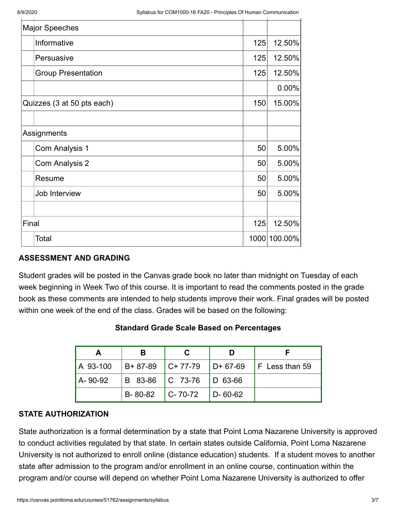|       | <b>Major Speeches</b>      |     |              |
|-------|----------------------------|-----|--------------|
|       | Informative                | 125 | 12.50%       |
|       | Persuasive                 | 125 | 12.50%       |
|       | <b>Group Presentation</b>  | 125 | 12.50%       |
|       |                            |     | 0.00%        |
|       | Quizzes (3 at 50 pts each) | 150 | 15.00%       |
|       |                            |     |              |
|       | Assignments                |     |              |
|       | Com Analysis 1             | 50  | 5.00%        |
|       | <b>Com Analysis 2</b>      | 50  | 5.00%        |
|       | Resume                     | 50  | 5.00%        |
|       | Job Interview              | 50  | 5.00%        |
|       |                            |     |              |
| Final |                            | 125 | 12.50%       |
|       | Total                      |     | 1000 100.00% |

# **ASSESSMENT AND GRADING**

Student grades will be posted in the Canvas grade book no later than midnight on Tuesday of each week beginning in Week Two of this course. It is important to read the comments posted in the grade book as these comments are intended to help students improve their work. Final grades will be posted within one week of the end of the class. Grades will be based on the following:

| A        |         |                             |               |  |
|----------|---------|-----------------------------|---------------|--|
| A 93-100 |         |                             |               |  |
| A-90-92  |         | B 83-86   C 73-76   D 63-66 |               |  |
|          | B-80-82 | $C - 70 - 72$               | $D - 60 - 62$ |  |

# **Standard Grade Scale Based on Percentages**

#### **STATE AUTHORIZATION**

State authorization is a formal determination by a state that Point Loma Nazarene University is approved to conduct activities regulated by that state. In certain states outside California, Point Loma Nazarene University is not authorized to enroll online (distance education) students. If a student moves to another state after admission to the program and/or enrollment in an online course, continuation within the program and/or course will depend on whether Point Loma Nazarene University is authorized to offer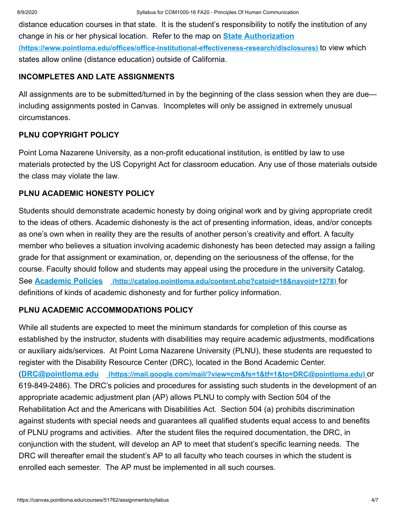distance education courses in that state. It is the student's responsibility to notify the institution of any change in his or her physical location. Refer to the map on **State Authorization [\(https://www.pointloma.edu/offices/office-institutional-effectiveness-research/disclosures\)](https://www.pointloma.edu/offices/office-institutional-effectiveness-research/disclosures)** to view which states allow online (distance education) outside of California.

#### **INCOMPLETES AND LATE ASSIGNMENTS**

All assignments are to be submitted/turned in by the beginning of the class session when they are due including assignments posted in Canvas. Incompletes will only be assigned in extremely unusual circumstances.

# **PLNU COPYRIGHT POLICY**

Point Loma Nazarene University, as a non-profit educational institution, is entitled by law to use materials protected by the US Copyright Act for classroom education. Any use of those materials outside the class may violate the law.

# **PLNU ACADEMIC HONESTY POLICY**

Students should demonstrate academic honesty by doing original work and by giving appropriate credit to the ideas of others. Academic dishonesty is the act of presenting information, ideas, and/or concepts as one's own when in reality they are the results of another person's creativity and effort. A faculty member who believes a situation involving academic dishonesty has been detected may assign a failing grade for that assignment or examination, or, depending on the seriousness of the offense, for the course. Faculty should follow and students may appeal using the procedure in the university Catalog. See **Academic Policies [\(http://catalog.pointloma.edu/content.php?catoid=18&navoid=1278\)](http://catalog.pointloma.edu/content.php?catoid=18&navoid=1278)** for definitions of kinds of academic dishonesty and for further policy information.

# **PLNU ACADEMIC ACCOMMODATIONS POLICY**

While all students are expected to meet the minimum standards for completion of this course as established by the instructor, students with disabilities may require academic adjustments, modifications or auxiliary aids/services. At Point Loma Nazarene University (PLNU), these students are requested to register with the Disability Resource Center (DRC), located in the Bond Academic Center. (**DRC@pointloma.edu [\(https://mail.google.com/mail/?view=cm&fs=1&tf=1&to=DRC@pointloma.edu\)](https://mail.google.com/mail/?view=cm&fs=1&tf=1&to=DRC@pointloma.edu)** or 619-849-2486). The DRC's policies and procedures for assisting such students in the development of an appropriate academic adjustment plan (AP) allows PLNU to comply with Section 504 of the Rehabilitation Act and the Americans with Disabilities Act. Section 504 (a) prohibits discrimination against students with special needs and guarantees all qualified students equal access to and benefits of PLNU programs and activities. After the student files the required documentation, the DRC, in conjunction with the student, will develop an AP to meet that student's specific learning needs. The DRC will thereafter email the student's AP to all faculty who teach courses in which the student is enrolled each semester. The AP must be implemented in all such courses.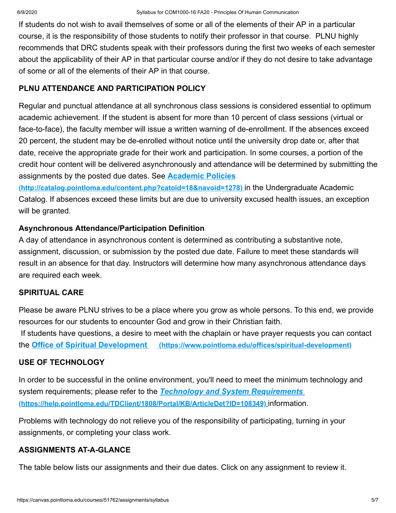If students do not wish to avail themselves of some or all of the elements of their AP in a particular course, it is the responsibility of those students to notify their professor in that course. PLNU highly recommends that DRC students speak with their professors during the first two weeks of each semester about the applicability of their AP in that particular course and/or if they do not desire to take advantage of some or all of the elements of their AP in that course.

# **PLNU ATTENDANCE AND PARTICIPATION POLICY**

Regular and punctual attendance at all synchronous class sessions is considered essential to optimum academic achievement. If the student is absent for more than 10 percent of class sessions (virtual or face-to-face), the faculty member will issue a written warning of de-enrollment. If the absences exceed 20 percent, the student may be de-enrolled without notice until the university drop date or, after that date, receive the appropriate grade for their work and participation. In some courses, a portion of the credit hour content will be delivered asynchronously and attendance will be determined by submitting the assignments by the posted due dates. See **Academic Policies**

**[\(http://catalog.pointloma.edu/content.php?catoid=18&navoid=1278\)](http://catalog.pointloma.edu/content.php?catoid=18&navoid=1278)** in the Undergraduate Academic Catalog. If absences exceed these limits but are due to university excused health issues, an exception will be granted.

# **Asynchronous Attendance/Participation Definition**

A day of attendance in asynchronous content is determined as contributing a substantive note, assignment, discussion, or submission by the posted due date. Failure to meet these standards will result in an absence for that day. Instructors will determine how many asynchronous attendance days are required each week.

# **SPIRITUAL CARE**

Please be aware PLNU strives to be a place where you grow as whole persons. To this end, we provide resources for our students to encounter God and grow in their Christian faith. If students have questions, a desire to meet with the chaplain or have prayer requests you can contact the **Office of Spiritual Development [\(https://www.pointloma.edu/offices/spiritual-development\)](https://www.pointloma.edu/offices/spiritual-development)**

# **USE OF TECHNOLOGY**

In order to be successful in the online environment, you'll need to meet the minimum technology and system requirements; please refer to the *Technology and System Requirements*  **[\(https://help.pointloma.edu/TDClient/1808/Portal/KB/ArticleDet?ID=108349\)](https://help.pointloma.edu/TDClient/1808/Portal/KB/ArticleDet?ID=108349)** information.

Problems with technology do not relieve you of the responsibility of participating, turning in your assignments, or completing your class work.

# **ASSIGNMENTS AT-A-GLANCE**

The table below lists our assignments and their due dates. Click on any assignment to review it.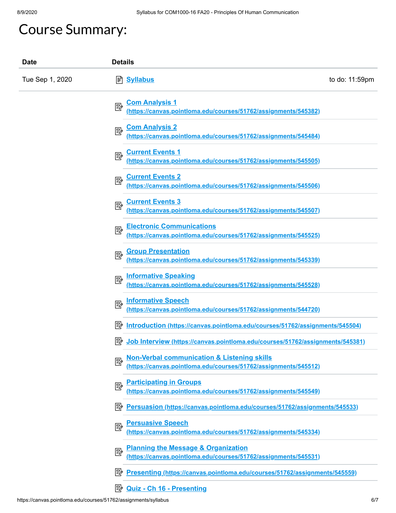# Course Summary:

| <b>Date</b>     | <b>Details</b>                                                                                                         |                |
|-----------------|------------------------------------------------------------------------------------------------------------------------|----------------|
| Tue Sep 1, 2020 | <b>A</b> Syllabus                                                                                                      | to do: 11:59pm |
|                 | <b>Com Analysis 1</b><br>國<br>(https://canvas.pointloma.edu/courses/51762/assignments/545382)                          |                |
|                 | <b>Com Analysis 2</b><br>國<br>(https://canvas.pointloma.edu/courses/51762/assignments/545484)                          |                |
|                 | <b>Current Events 1</b><br>國<br>(https://canvas.pointloma.edu/courses/51762/assignments/545505)                        |                |
|                 | <b>Current Events 2</b><br>國<br>(https://canvas.pointloma.edu/courses/51762/assignments/545506)                        |                |
|                 | <b>Current Events 3</b><br>國<br>(https://canvas.pointloma.edu/courses/51762/assignments/545507)                        |                |
|                 | <b>Electronic Communications</b><br>國<br>(https://canvas.pointloma.edu/courses/51762/assignments/545525)               |                |
|                 | <b>Group Presentation</b><br>國<br>(https://canvas.pointloma.edu/courses/51762/assignments/545339)                      |                |
|                 | <b>Informative Speaking</b><br>國<br>(https://canvas.pointloma.edu/courses/51762/assignments/545528)                    |                |
|                 | <b>Informative Speech</b><br>國<br>(https://canvas.pointloma.edu/courses/51762/assignments/544720)                      |                |
|                 | ぽん<br>Introduction (https://canvas.pointloma.edu/courses/51762/assignments/545504)                                     |                |
|                 | Job Interview (https://canvas.pointloma.edu/courses/51762/assignments/545381)<br>ا∛≡ا                                  |                |
|                 | Non-Verbal communication & Listening skills<br>國<br>(https://canvas.pointloma.edu/courses/51762/assignments/545512)    |                |
|                 | <b>Participating in Groups</b><br>國<br>(https://canvas.pointloma.edu/courses/51762/assignments/545549)                 |                |
|                 | 彫<br>Persuasion (https://canvas.pointloma.edu/courses/51762/assignments/545533)                                        |                |
|                 | <b>Persuasive Speech</b><br>國<br>(https://canvas.pointloma.edu/courses/51762/assignments/545334)                       |                |
|                 | <b>Planning the Message &amp; Organization</b><br>國<br>(https://canvas.pointloma.edu/courses/51762/assignments/545531) |                |
|                 | Presenting (https://canvas.pointloma.edu/courses/51762/assignments/545559)<br>診                                        |                |
|                 | <b>B</b> <u>Quiz - Ch 16 - Presenting</u>                                                                              |                |